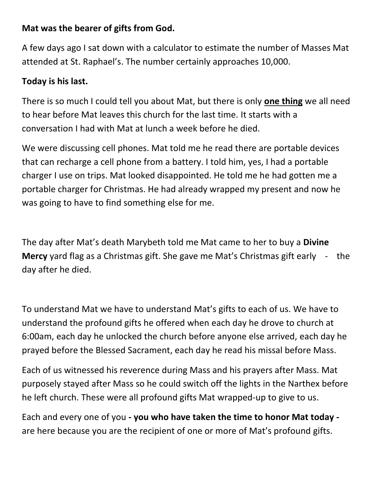## **Mat was the bearer of gifts from God.**

A few days ago I sat down with a calculator to estimate the number of Masses Mat attended at St. Raphael's. The number certainly approaches 10,000.

## **Today is his last.**

There is so much I could tell you about Mat, but there is only **one thing** we all need to hear before Mat leaves this church for the last time. It starts with a conversation I had with Mat at lunch a week before he died.

We were discussing cell phones. Mat told me he read there are portable devices that can recharge a cell phone from a battery. I told him, yes, I had a portable charger I use on trips. Mat looked disappointed. He told me he had gotten me a portable charger for Christmas. He had already wrapped my present and now he was going to have to find something else for me.

The day after Mat's death Marybeth told me Mat came to her to buy a **Divine Mercy** yard flag as a Christmas gift. She gave me Mat's Christmas gift early - the day after he died.

To understand Mat we have to understand Mat's gifts to each of us. We have to understand the profound gifts he offered when each day he drove to church at 6:00am, each day he unlocked the church before anyone else arrived, each day he prayed before the Blessed Sacrament, each day he read his missal before Mass.

Each of us witnessed his reverence during Mass and his prayers after Mass. Mat purposely stayed after Mass so he could switch off the lights in the Narthex before he left church. These were all profound gifts Mat wrapped-up to give to us.

Each and every one of you **- you who have taken the time to honor Mat today**  are here because you are the recipient of one or more of Mat's profound gifts.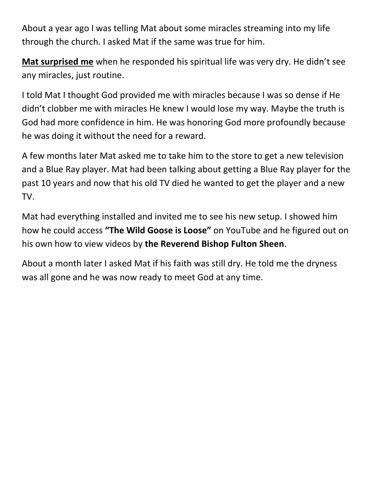About a year ago I was telling Mat about some miracles streaming into my life through the church. I asked Mat if the same was true for him.

**Mat surprised me** when he responded his spiritual life was very dry. He didn't see any miracles, just routine.

I told Mat I thought God provided me with miracles because I was so dense if He didn't clobber me with miracles He knew I would lose my way. Maybe the truth is God had more confidence in him. He was honoring God more profoundly because he was doing it without the need for a reward.

A few months later Mat asked me to take him to the store to get a new television and a Blue Ray player. Mat had been talking about getting a Blue Ray player for the past 10 years and now that his old TV died he wanted to get the player and a new TV.

Mat had everything installed and invited me to see his new setup. I showed him how he could access **"The Wild Goose is Loose"** on YouTube and he figured out on his own how to view videos by **the Reverend Bishop Fulton Sheen**.

About a month later I asked Mat if his faith was still dry. He told me the dryness was all gone and he was now ready to meet God at any time.